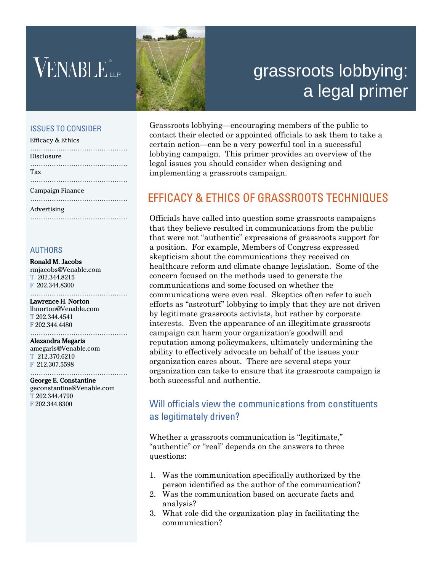֚֚֬

# grassroots lobbying: a legal primer

#### ISSUES TO CONSIDER

| <b>Efficacy &amp; Ethics</b> |
|------------------------------|
| Disclosure                   |
| Tax                          |
| Campaign Finance             |
| Advertising                  |

#### AUTHORS

#### Ronald M. Jacobs

rmjacobs@Venable.com T 202.344.8215 F 202.344.8300

#### ………………………………………… Lawrence H. Norton

lhnorton@Venable.com T 202.344.4541 F 202.344.4480

………………………………………………

#### Alexandra Megaris

amegaris@Venable.com T 212.370.6210 F 212.307.5598

#### ……………………………………… George E. Constantine

geconstantine@Venable.com T 202.344.4790 F 202.344.8300

Grassroots lobbying—encouraging members of the public to contact their elected or appointed officials to ask them to take a certain action—can be a very powerful tool in a successful lobbying campaign. This primer provides an overview of the legal issues you should consider when designing and implementing a grassroots campaign.

### EFFICACY & ETHICS OF GRASSROOTS TECHNIQUES

Officials have called into question some grassroots campaigns that they believe resulted in communications from the public that were not "authentic" expressions of grassroots support for a position. For example, Members of Congress expressed skepticism about the communications they received on healthcare reform and climate change legislation. Some of the concern focused on the methods used to generate the communications and some focused on whether the communications were even real. Skeptics often refer to such efforts as "astroturf" lobbying to imply that they are not driven by legitimate grassroots activists, but rather by corporate interests. Even the appearance of an illegitimate grassroots campaign can harm your organization's goodwill and reputation among policymakers, ultimately undermining the ability to effectively advocate on behalf of the issues your organization cares about. There are several steps your organization can take to ensure that its grassroots campaign is both successful and authentic.

#### Will officials view the communications from constituents as legitimately driven?

Whether a grassroots communication is "legitimate," "authentic" or "real" depends on the answers to three questions:

- 1. Was the communication specifically authorized by the person identified as the author of the communication?
- 2. Was the communication based on accurate facts and analysis?
- 3. What role did the organization play in facilitating the communication?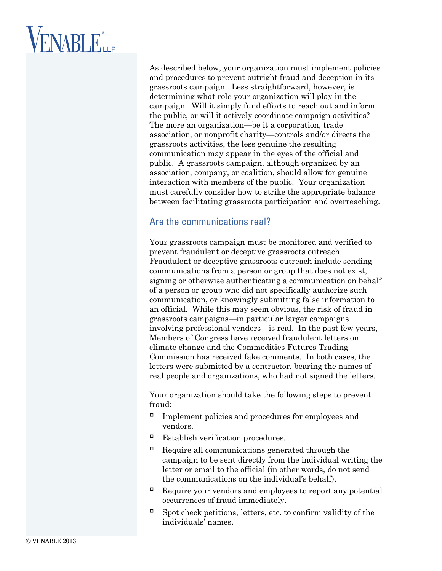As described below, your organization must implement policies and procedures to prevent outright fraud and deception in its grassroots campaign. Less straightforward, however, is determining what role your organization will play in the campaign. Will it simply fund efforts to reach out and inform the public, or will it actively coordinate campaign activities? The more an organization—be it a corporation, trade association, or nonprofit charity—controls and/or directs the grassroots activities, the less genuine the resulting communication may appear in the eyes of the official and public. A grassroots campaign, although organized by an association, company, or coalition, should allow for genuine interaction with members of the public. Your organization must carefully consider how to strike the appropriate balance between facilitating grassroots participation and overreaching.

### Are the communications real?

Your grassroots campaign must be monitored and verified to prevent fraudulent or deceptive grassroots outreach. Fraudulent or deceptive grassroots outreach include sending communications from a person or group that does not exist, signing or otherwise authenticating a communication on behalf of a person or group who did not specifically authorize such communication, or knowingly submitting false information to an official. While this may seem obvious, the risk of fraud in grassroots campaigns—in particular larger campaigns involving professional vendors—is real. In the past few years, Members of Congress have received fraudulent letters on climate change and the Commodities Futures Trading Commission has received fake comments. In both cases, the letters were submitted by a contractor, bearing the names of real people and organizations, who had not signed the letters.

Your organization should take the following steps to prevent fraud:

- $\Box$  Implement policies and procedures for employees and vendors.
- $\Box$  Establish verification procedures.
- $\Box$  Require all communications generated through the campaign to be sent directly from the individual writing the letter or email to the official (in other words, do not send the communications on the individual's behalf).
- $\Box$  Require your vendors and employees to report any potential occurrences of fraud immediately.
- $\Box$  Spot check petitions, letters, etc. to confirm validity of the individuals' names.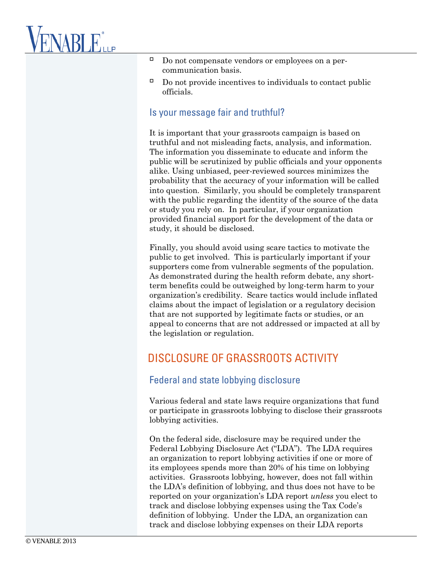# **VENABLE**LLP

- $\Box$  Do not compensate vendors or employees on a percommunication basis.
- $\Box$  Do not provide incentives to individuals to contact public officials.

#### Is your message fair and truthful?

It is important that your grassroots campaign is based on truthful and not misleading facts, analysis, and information. The information you disseminate to educate and inform the public will be scrutinized by public officials and your opponents alike. Using unbiased, peer-reviewed sources minimizes the probability that the accuracy of your information will be called into question. Similarly, you should be completely transparent with the public regarding the identity of the source of the data or study you rely on. In particular, if your organization provided financial support for the development of the data or study, it should be disclosed.

Finally, you should avoid using scare tactics to motivate the public to get involved. This is particularly important if your supporters come from vulnerable segments of the population. As demonstrated during the health reform debate, any shortterm benefits could be outweighed by long-term harm to your organization's credibility. Scare tactics would include inflated claims about the impact of legislation or a regulatory decision that are not supported by legitimate facts or studies, or an appeal to concerns that are not addressed or impacted at all by the legislation or regulation.

### DISCLOSURE OF GRASSROOTS ACTIVITY

#### Federal and state lobbying disclosure

Various federal and state laws require organizations that fund or participate in grassroots lobbying to disclose their grassroots lobbying activities.

On the federal side, disclosure may be required under the Federal Lobbying Disclosure Act ("LDA"). The LDA requires an organization to report lobbying activities if one or more of its employees spends more than 20% of his time on lobbying activities. Grassroots lobbying, however, does not fall within the LDA's definition of lobbying, and thus does not have to be reported on your organization's LDA report *unless* you elect to track and disclose lobbying expenses using the Tax Code's definition of lobbying. Under the LDA, an organization can track and disclose lobbying expenses on their LDA reports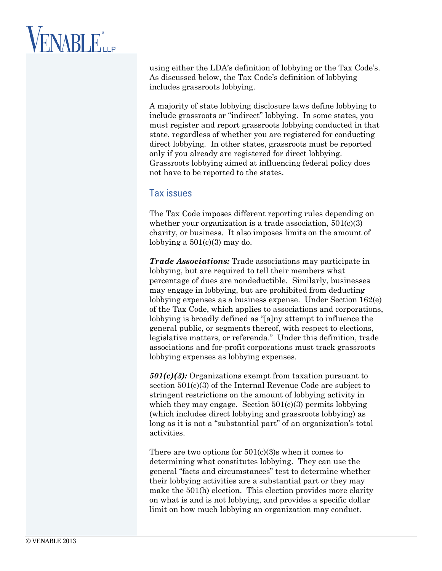using either the LDA's definition of lobbying or the Tax Code's. As discussed below, the Tax Code's definition of lobbying includes grassroots lobbying.

A majority of state lobbying disclosure laws define lobbying to include grassroots or "indirect" lobbying. In some states, you must register and report grassroots lobbying conducted in that state, regardless of whether you are registered for conducting direct lobbying. In other states, grassroots must be reported only if you already are registered for direct lobbying. Grassroots lobbying aimed at influencing federal policy does not have to be reported to the states.

#### Tax issues

The Tax Code imposes different reporting rules depending on whether your organization is a trade association,  $501(c)(3)$ charity, or business. It also imposes limits on the amount of lobbying a  $501(c)(3)$  may do.

*Trade Associations:* Trade associations may participate in lobbying, but are required to tell their members what percentage of dues are nondeductible. Similarly, businesses may engage in lobbying, but are prohibited from deducting lobbying expenses as a business expense. Under Section 162(e) of the Tax Code, which applies to associations and corporations, lobbying is broadly defined as "[a]ny attempt to influence the general public, or segments thereof, with respect to elections, legislative matters, or referenda." Under this definition, trade associations and for-profit corporations must track grassroots lobbying expenses as lobbying expenses.

*501(c)(3):* Organizations exempt from taxation pursuant to section 501(c)(3) of the Internal Revenue Code are subject to stringent restrictions on the amount of lobbying activity in which they may engage. Section  $501(c)(3)$  permits lobbying (which includes direct lobbying and grassroots lobbying) as long as it is not a "substantial part" of an organization's total activities.

There are two options for 501(c)(3)s when it comes to determining what constitutes lobbying. They can use the general "facts and circumstances" test to determine whether their lobbying activities are a substantial part or they may make the 501(h) election. This election provides more clarity on what is and is not lobbying, and provides a specific dollar limit on how much lobbying an organization may conduct.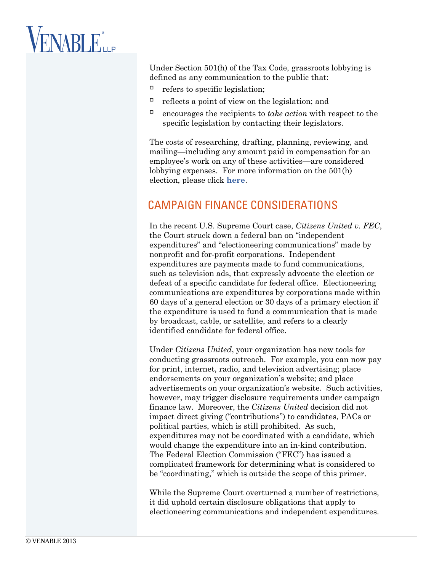# **VENABLE**LLP

Under Section 501(h) of the Tax Code, grassroots lobbying is defined as any communication to the public that:

- $\Box$  refers to specific legislation;
- $\Box$  reflects a point of view on the legislation; and
- $\Box$  encourages the recipients to *take action* with respect to the specific legislation by contacting their legislators.

The costs of researching, drafting, planning, reviewing, and mailing—including any amount paid in compensation for an employee's work on any of these activities—are considered lobbying expenses. For more information on the 501(h) election, please click **[here](http://www.venable.com/files/Publication/8246ca29-407a-463a-b5d0-278bde1d2927/Presentation/PublicationAttachment/9adfa19f-fa25-4abd-b2fc-34c43dc83cad/Political_Alert_501_c__3_7.31.09.pdf)**.

### CAMPAIGN FINANCE CONSIDERATIONS

In the recent U.S. Supreme Court case, *Citizens United v. FEC*, the Court struck down a federal ban on "independent expenditures" and "electioneering communications" made by nonprofit and for-profit corporations. Independent expenditures are payments made to fund communications, such as television ads, that expressly advocate the election or defeat of a specific candidate for federal office. Electioneering communications are expenditures by corporations made within 60 days of a general election or 30 days of a primary election if the expenditure is used to fund a communication that is made by broadcast, cable, or satellite, and refers to a clearly identified candidate for federal office.

Under *Citizens United*, your organization has new tools for conducting grassroots outreach. For example, you can now pay for print, internet, radio, and television advertising; place endorsements on your organization's website; and place advertisements on your organization's website. Such activities, however, may trigger disclosure requirements under campaign finance law. Moreover, the *Citizens United* decision did not impact direct giving ("contributions") to candidates, PACs or political parties, which is still prohibited. As such, expenditures may not be coordinated with a candidate, which would change the expenditure into an in-kind contribution. The Federal Election Commission ("FEC") has issued a complicated framework for determining what is considered to be "coordinating," which is outside the scope of this primer.

While the Supreme Court overturned a number of restrictions, it did uphold certain disclosure obligations that apply to electioneering communications and independent expenditures.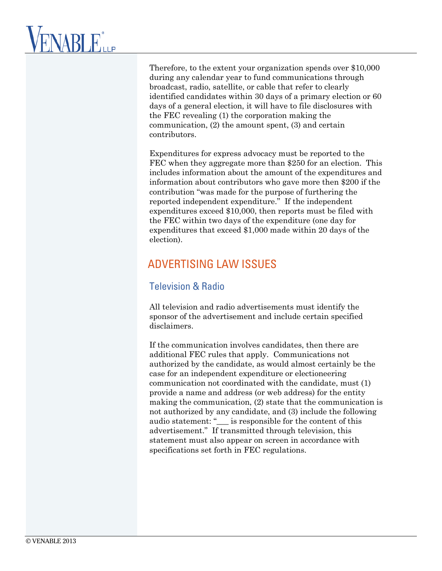Therefore, to the extent your organization spends over \$10,000 during any calendar year to fund communications through broadcast, radio, satellite, or cable that refer to clearly identified candidates within 30 days of a primary election or 60 days of a general election, it will have to file disclosures with the FEC revealing (1) the corporation making the communication, (2) the amount spent, (3) and certain contributors.

Expenditures for express advocacy must be reported to the FEC when they aggregate more than \$250 for an election. This includes information about the amount of the expenditures and information about contributors who gave more then \$200 if the contribution "was made for the purpose of furthering the reported independent expenditure." If the independent expenditures exceed \$10,000, then reports must be filed with the FEC within two days of the expenditure (one day for expenditures that exceed \$1,000 made within 20 days of the election).

## ADVERTISING LAW ISSUES

### Television & Radio

All television and radio advertisements must identify the sponsor of the advertisement and include certain specified disclaimers.

If the communication involves candidates, then there are additional FEC rules that apply. Communications not authorized by the candidate, as would almost certainly be the case for an independent expenditure or electioneering communication not coordinated with the candidate, must (1) provide a name and address (or web address) for the entity making the communication, (2) state that the communication is not authorized by any candidate, and (3) include the following audio statement: "\_\_\_ is responsible for the content of this advertisement." If transmitted through television, this statement must also appear on screen in accordance with specifications set forth in FEC regulations.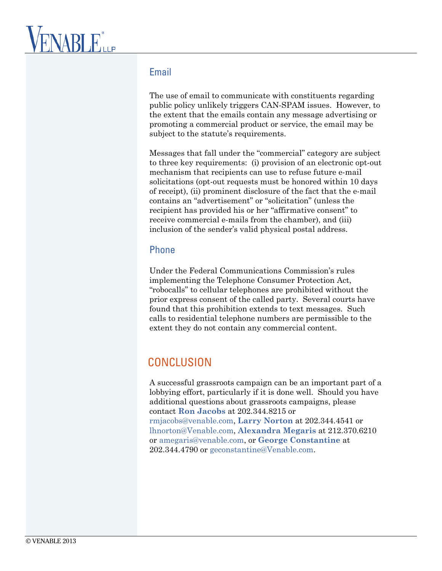### Email

The use of email to communicate with constituents regarding public policy unlikely triggers CAN-SPAM issues. However, to the extent that the emails contain any message advertising or promoting a commercial product or service, the email may be subject to the statute's requirements.

Messages that fall under the "commercial" category are subject to three key requirements: (i) provision of an electronic opt-out mechanism that recipients can use to refuse future e-mail solicitations (opt-out requests must be honored within 10 days of receipt), (ii) prominent disclosure of the fact that the e-mail contains an "advertisement" or "solicitation" (unless the recipient has provided his or her "affirmative consent" to receive commercial e-mails from the chamber), and (iii) inclusion of the sender's valid physical postal address.

#### Phone

Under the Federal Communications Commission's rules implementing the Telephone Consumer Protection Act, "robocalls" to cellular telephones are prohibited without the prior express consent of the called party. Several courts have found that this prohibition extends to text messages. Such calls to residential telephone numbers are permissible to the extent they do not contain any commercial content.

## **CONCLUSION**

A successful grassroots campaign can be an important part of a lobbying effort, particularly if it is done well. Should you have additional questions about grassroots campaigns, please contact **[Ron Jacobs](http://www.venable.com/Professionals/Bio.aspx?Bio=43b5823b-303b-4fb3-9346-647f0c749500&view=events)** at 202.344.8215 or [rmjacobs@venable.com,](mailto:rmjacobs@venable.com) **[Larry Norton](http://www.venable.com/lawrence-h-norton/)** at 202.344.4541 or [lhnorton@Venable.com,](mailto:lhnorton@Venable.com) **[Alexandra Megaris](http://www.venable.com/alexandra-megaris/)** at 212.370.6210 or [amegaris@venable.com,](mailto:amegaris@venable.com) or **George Constantine** at 202.344.4790 or [geconstantine@Venable.com.](mailto:geconstantine@Venable.com)